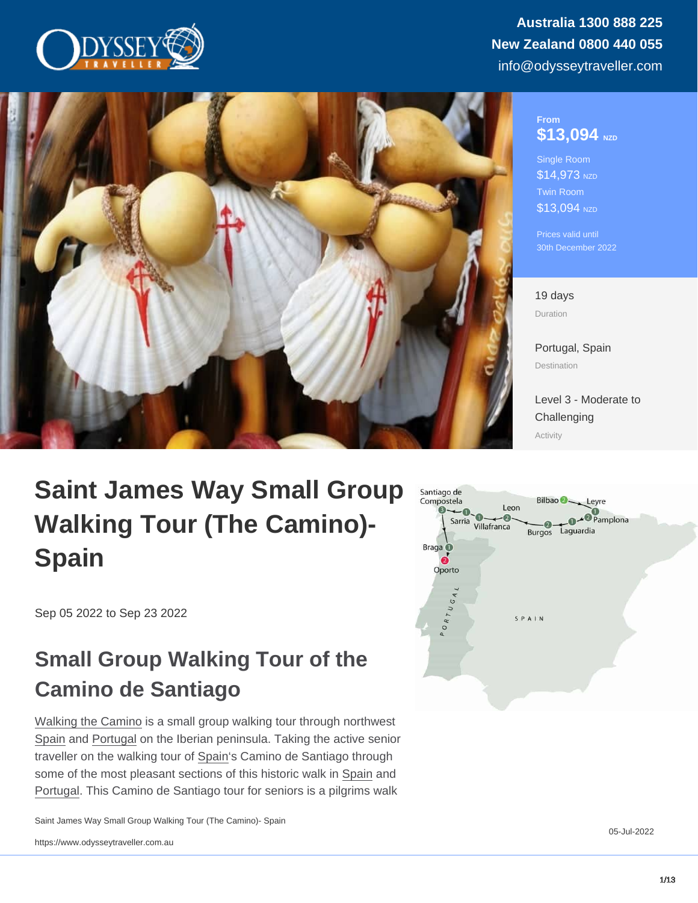#### From \$13,094 NZD

Single Room \$14,973 NZD Twin Room \$13,094 NZD

Prices valid until 30th December 2022

#### 19 days Duration

[Portugal,](https://www.odysseytraveller.com/destinations/europe/portugal/) [Spain](https://www.odysseytraveller.com/destinations/europe/spain/) Destination

[Level 3 - Moderate to](/tour-category/activity-levels/) **[Challenging](/tour-category/activity-levels/)** Activity

# Saint James Way Small Group Walking Tour (The Camino)- Spain

Sep 05 2022 to Sep 23 2022

## Small Group Walking Tour of the Camino de Santiago

[Walking the Camino](https://www.odysseytraveller.com/articles/camino-de-santiago/) is a small group walking tour through northwest [Spain](https://www.odysseytraveller.com/destinations/europe/spain/) and [Portugal](/destinations/europe/portugal/) on the Iberian peninsula. Taking the active senior traveller on the walking tour of [Spain](https://www.odysseytraveller.com/destinations/europe/spain/)'s Camino de Santiago through some of the most pleasant sections of this historic walk in [Spain](https://www.odysseytraveller.com/destinations/europe/spain/) and [Portugal.](/destinations/europe/portugal/) This Camino de Santiago tour for seniors is a pilgrims walk

Saint James Way Small Group Walking Tour (The Camino)- Spain

05-Jul-2022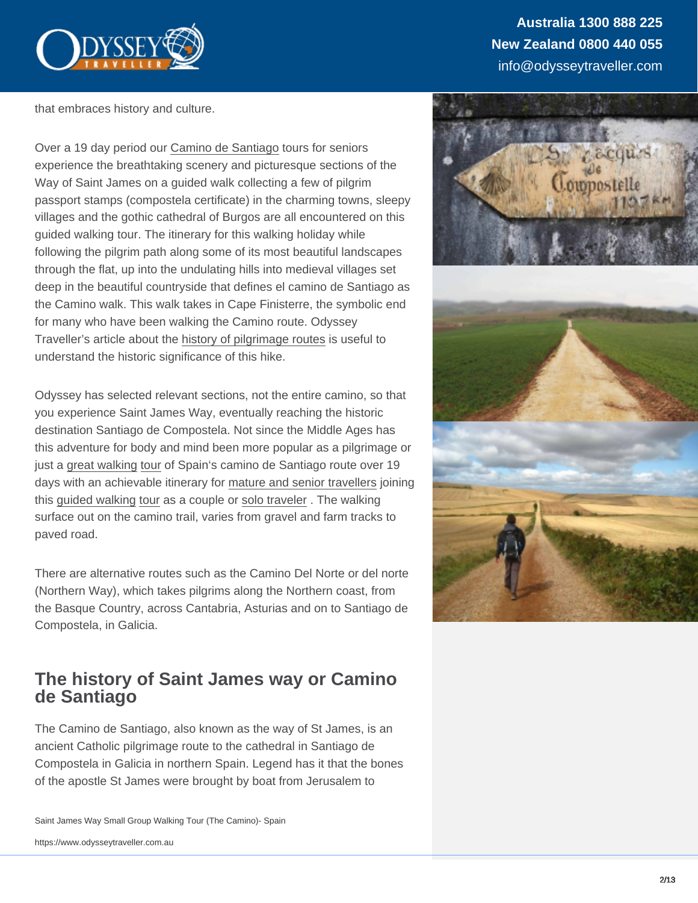that embraces history and culture.

Over a 19 day period our [Camino de Santiago](https://www.odysseytraveller.com/articles/camino-de-santiago/) tours for seniors experience the breathtaking scenery and picturesque sections of the Way of Saint James on a guided walk collecting a few of pilgrim passport stamps (compostela certificate) in the charming towns, sleepy villages and the gothic cathedral of Burgos are all encountered on this guided walking tour. The itinerary for this walking holiday while following the pilgrim path along some of its most beautiful landscapes through the flat, up into the undulating hills into medieval villages set deep in the beautiful countryside that defines el camino de Santiago as the Camino walk. This walk takes in Cape Finisterre, the symbolic end for many who have been walking the Camino route. Odyssey Traveller's article about the [history of pilgrimage routes](https://www.odysseytraveller.com/articles/pilgrimage-routes-modern-traveller/) is useful to understand the historic significance of this hike.

Odyssey has selected relevant sections, not the entire camino, so that you experience Saint James Way, eventually reaching the historic destination Santiago de Compostela. Not since the Middle Ages has this adventure for body and mind been more popular as a pilgrimage or just a [great walking](https://www.odysseytraveller.com/articles/walking-tours-for-active-travellers-tips-for-seniors/) tour of Spain's camino de Santiago route over 19 days with an achievable itinerary for [mature and senior travellers](https://www.odysseytraveller.com/articles/small-group-tours-for-seniors/) joining this [guided walking](https://www.odysseytraveller.com/articles/walking-tours-for-active-travellers-tips-for-seniors/) tour as a couple or [solo traveler](https://www.odysseytraveller.com/articles/solo-travel-guide-for-senior-travellers-small-group-tours/) . The walking surface out on the camino trail, varies from gravel and farm tracks to paved road.

There are alternative routes such as the Camino Del Norte or del norte (Northern Way), which takes pilgrims along the Northern coast, from the Basque Country, across Cantabria, Asturias and on to Santiago de Compostela, in Galicia.

### The history of Saint James way or Camino de Santiago

The Camino de Santiago, also known as the way of St James, is an ancient Catholic pilgrimage route to the cathedral in Santiago de Compostela in Galicia in northern Spain. Legend has it that the bones of the apostle St James were brought by boat from Jerusalem to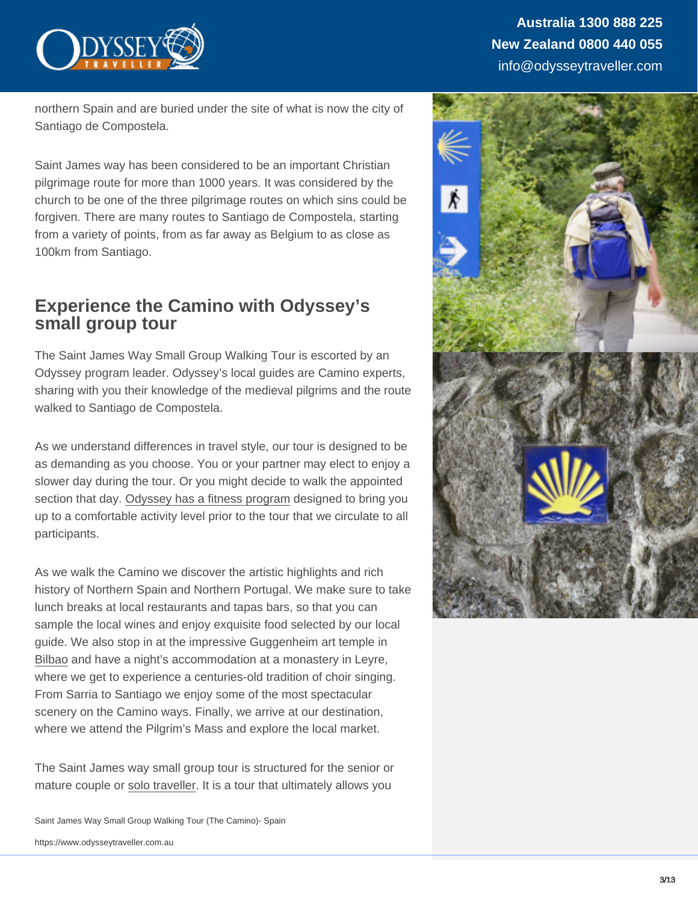northern Spain and are buried under the site of what is now the city of Santiago de Compostela.

Saint James way has been considered to be an important Christian pilgrimage route for more than 1000 years. It was considered by the church to be one of the three pilgrimage routes on which sins could be forgiven. There are many routes to Santiago de Compostela, starting from a variety of points, from as far away as Belgium to as close as 100km from Santiago.

### Experience the Camino with Odyssey's small group tour

The Saint James Way Small Group Walking Tour is escorted by an Odyssey program leader. Odyssey's local guides are Camino experts, sharing with you their knowledge of the medieval pilgrims and the route walked to Santiago de Compostela.

As we understand differences in travel style, our tour is designed to be as demanding as you choose. You or your partner may elect to enjoy a slower day during the tour. Or you might decide to walk the appointed section that day. [Odyssey has a fitness program](https://www.odysseytraveller.com/articles/tips-to-counter-age-related-muscle-loss/) designed to bring you up to a comfortable activity level prior to the tour that we circulate to all participants.

As we walk the Camino we discover the artistic highlights and rich history of Northern Spain and Northern Portugal. We make sure to take lunch breaks at local restaurants and tapas bars, so that you can sample the local wines and enjoy exquisite food selected by our local guide. We also stop in at the impressive Guggenheim art temple in [Bilbao](https://www.odysseytraveller.com/articles/bilbao-spain/) and have a night's accommodation at a monastery in Leyre, where we get to experience a centuries-old tradition of choir singing. From Sarria to Santiago we enjoy some of the most spectacular scenery on the Camino ways. Finally, we arrive at our destination, where we attend the Pilgrim's Mass and explore the local market.

The Saint James way small group tour is structured for the senior or mature couple or [solo traveller.](https://www.odysseytraveller.com/articles/solo-travel/) It is a tour that ultimately allows you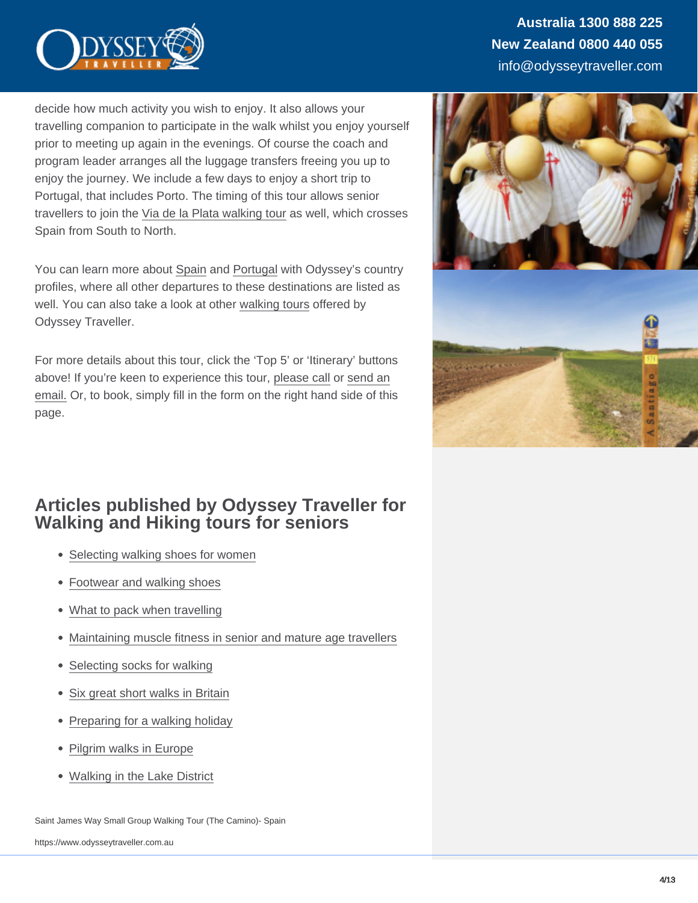decide how much activity you wish to enjoy. It also allows your travelling companion to participate in the walk whilst you enjoy yourself prior to meeting up again in the evenings. Of course the coach and program leader arranges all the luggage transfers freeing you up to enjoy the journey. We include a few days to enjoy a short trip to Portugal, that includes Porto. The timing of this tour allows senior travellers to join the [Via de la Plata walking tour](https://www.odysseytraveller.com/tours-small-groups/via-de-la-plata-walking-tour/) as well, which crosses Spain from South to North.

You can learn more about [Spain](https://www.odysseytraveller.com/destinations/europe/spain/) and [Portugal](https://www.odysseytraveller.com/destinations/europe/portugal/) with Odyssey's country profiles, where all other departures to these destinations are listed as well. You can also take a look at other [walking tours](https://www.odysseytraveller.com/tour-category/hiking-walking/) offered by Odyssey Traveller.

For more details about this tour, click the 'Top 5' or 'Itinerary' buttons above! If you're keen to experience this tour, [please call](https://www.odysseytraveller.com/contact-us/) or [send an](mailto:info@odysseytravel.com.au) [email.](mailto:info@odysseytravel.com.au) Or, to book, simply fill in the form on the right hand side of this page.

### Articles published by Odyssey Traveller for Walking and Hiking tours for seniors

- [Selecting walking shoes for women](https://www.odysseytraveller.com/articles/womens-walking-shoes/)
- [Footwear and walking shoes](https://www.odysseytraveller.com/articles/travellers-footwear-clothing-tips/)
- [What to pack when travelling](https://www.odysseytraveller.com/articles/mature-travelers-packing-advice-for-small-group-escorted-learning-tours/)
- [Maintaining muscle fitness in senior and mature age travellers](https://www.odysseytraveller.com/articles/tips-to-counter-age-related-muscle-loss/)
- [Selecting socks for walking](https://www.odysseytraveller.com/articles/selecting-shoes-and-socks/)
- [Six great short walks in Britain](https://www.odysseytraveller.com/articles/short-walks-britain/)
- [Preparing for a walking holiday](https://www.odysseytraveller.com/articles/preparing-walking-holiday-tour-tips-long-walk/)
- [Pilgrim walks in Europe](https://www.odysseytraveller.com/articles/history-european-pilgrim-walks/)
- [Walking in the Lake District](https://www.odysseytraveller.com/articles/lake-district-england/)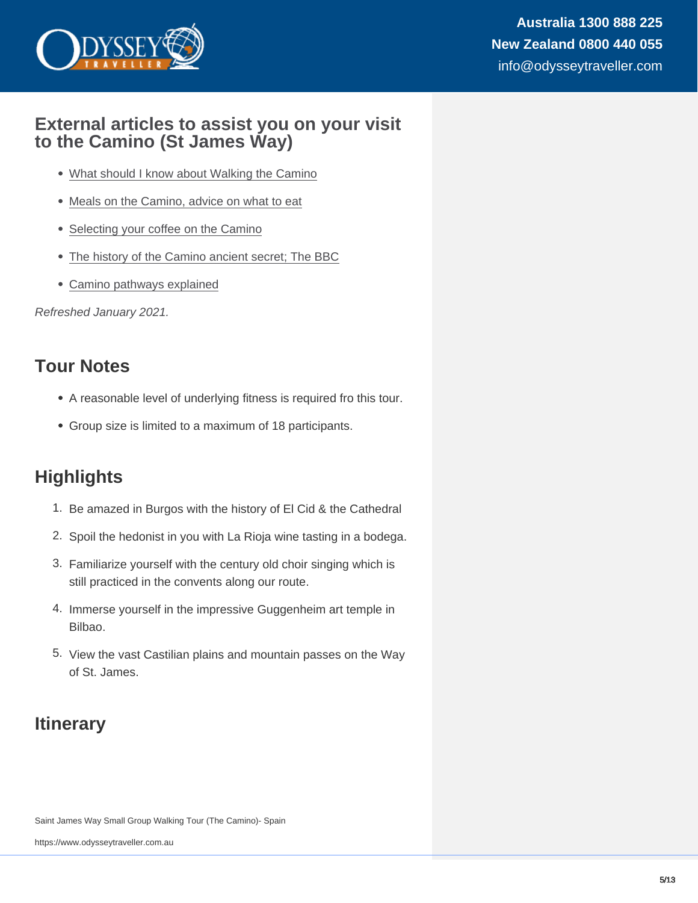### External articles to assist you on your visit to the Camino (St James Way)

- [What should I know about Walking the Camino](https://www.outsideonline.com/1784791/what-should-i-know-about-hiking-spains-el-camino-de-santiago)
- [Meals on the Camino, advice on what to eat](https://caminoways.com/food-on-the-camino)
- [Selecting your coffee on the Camino](https://www.andaspain.com/blog/cafe/)
- [The history of the Camino ancient secret; The BBC](http://www.bbc.com/travel/story/20190411-the-camino-de-santiagos-ancient-secret)
- [Camino pathways explained](https://caminoways.com/camino-de-santiago)

Refreshed January 2021.

### Tour Notes

- A reasonable level of underlying fitness is required fro this tour.
- Group size is limited to a maximum of 18 participants.

### **Highlights**

- 1. Be amazed in Burgos with the history of El Cid & the Cathedral
- 2. Spoil the hedonist in you with La Rioja wine tasting in a bodega.
- 3. Familiarize yourself with the century old choir singing which is still practiced in the convents along our route.
- 4. Immerse yourself in the impressive Guggenheim art temple in Bilbao.
- 5. View the vast Castilian plains and mountain passes on the Way of St. James.

### **Itinerary**

Saint James Way Small Group Walking Tour (The Camino)- Spain

https://www.odysseytraveller.com.au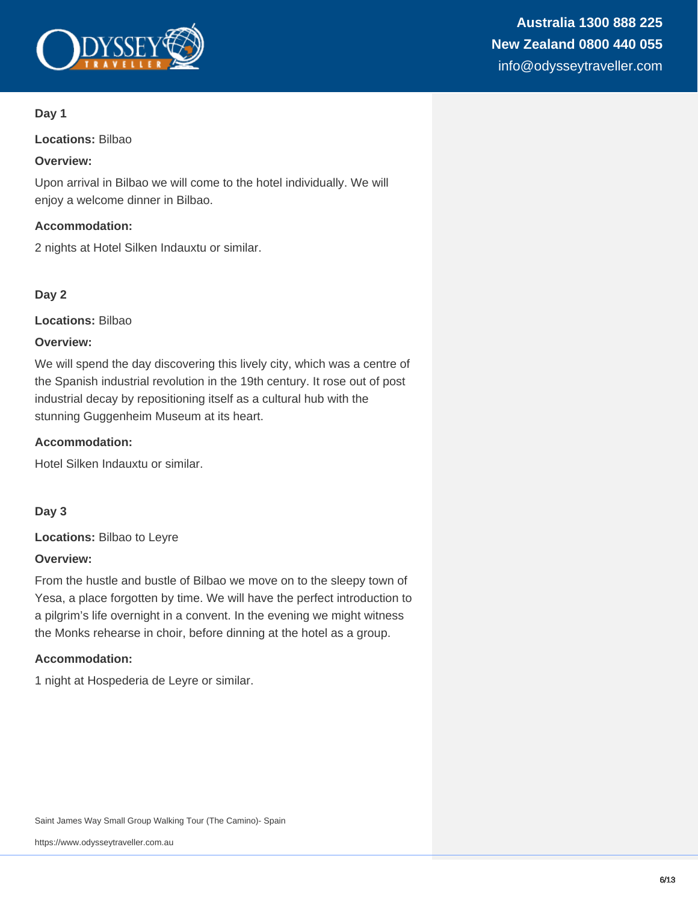

**Locations:** Bilbao

#### **Overview:**

Upon arrival in Bilbao we will come to the hotel individually. We will enjoy a welcome dinner in Bilbao.

#### **Accommodation:**

2 nights at Hotel Silken Indauxtu or similar.

#### **Day 2**

**Locations:** Bilbao

#### **Overview:**

We will spend the day discovering this lively city, which was a centre of the Spanish industrial revolution in the 19th century. It rose out of post industrial decay by repositioning itself as a cultural hub with the stunning Guggenheim Museum at its heart.

#### **Accommodation:**

Hotel Silken Indauxtu or similar.

#### **Day 3**

**Locations:** Bilbao to Leyre

#### **Overview:**

From the hustle and bustle of Bilbao we move on to the sleepy town of Yesa, a place forgotten by time. We will have the perfect introduction to a pilgrim's life overnight in a convent. In the evening we might witness the Monks rehearse in choir, before dinning at the hotel as a group.

#### **Accommodation:**

1 night at Hospederia de Leyre or similar.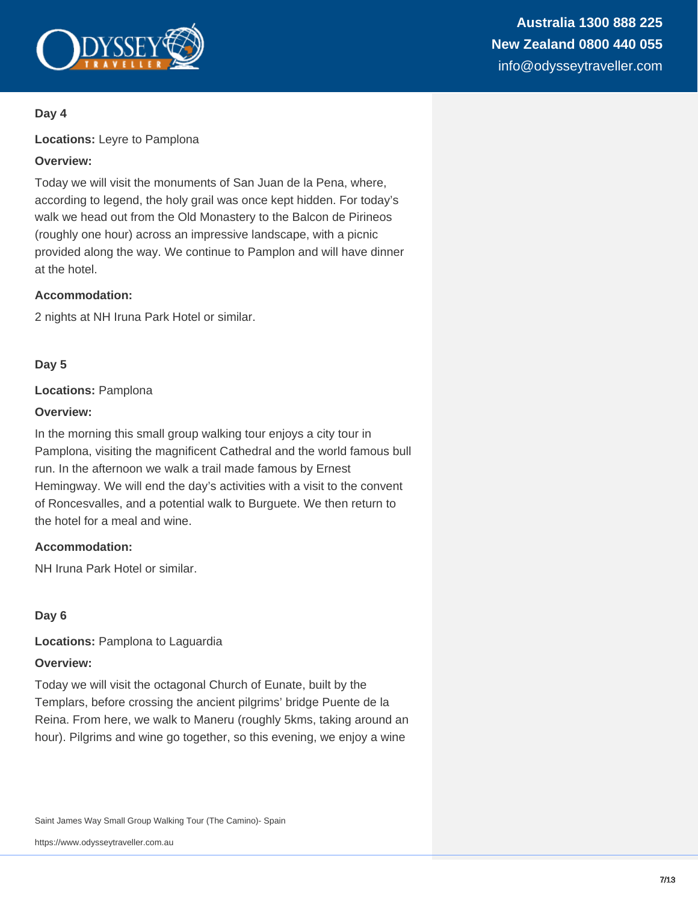

**Locations:** Leyre to Pamplona

#### **Overview:**

Today we will visit the monuments of San Juan de la Pena, where, according to legend, the holy grail was once kept hidden. For today's walk we head out from the Old Monastery to the Balcon de Pirineos (roughly one hour) across an impressive landscape, with a picnic provided along the way. We continue to Pamplon and will have dinner at the hotel.

#### **Accommodation:**

2 nights at NH Iruna Park Hotel or similar.

#### **Day 5**

#### **Locations:** Pamplona

#### **Overview:**

In the morning this small group walking tour enjoys a city tour in Pamplona, visiting the magnificent Cathedral and the world famous bull run. In the afternoon we walk a trail made famous by Ernest Hemingway. We will end the day's activities with a visit to the convent of Roncesvalles, and a potential walk to Burguete. We then return to the hotel for a meal and wine.

#### **Accommodation:**

NH Iruna Park Hotel or similar.

#### **Day 6**

**Locations:** Pamplona to Laguardia

#### **Overview:**

Today we will visit the octagonal Church of Eunate, built by the Templars, before crossing the ancient pilgrims' bridge Puente de la Reina. From here, we walk to Maneru (roughly 5kms, taking around an hour). Pilgrims and wine go together, so this evening, we enjoy a wine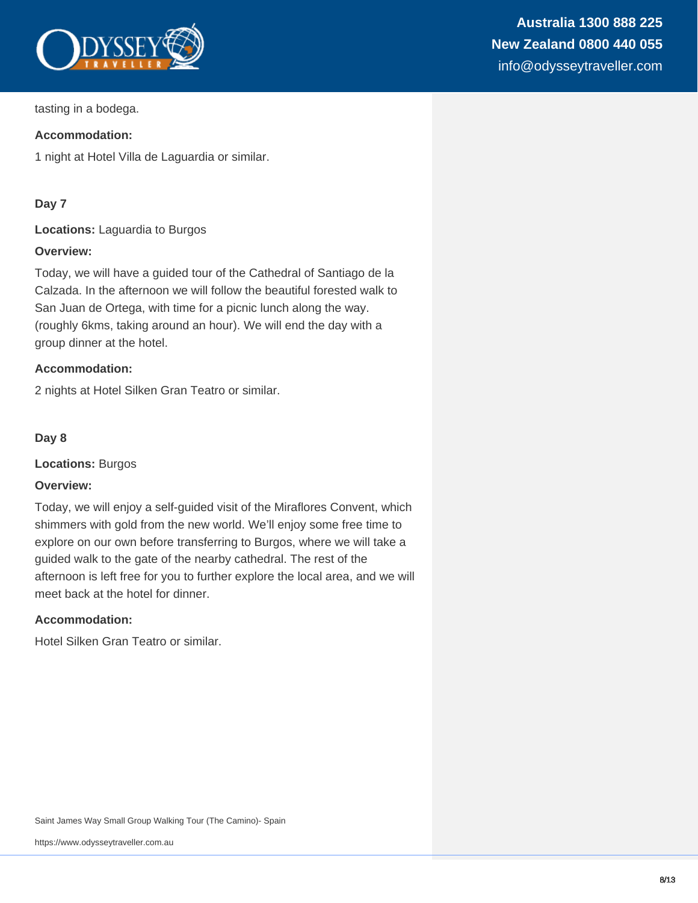

#### **Accommodation:**

1 night at Hotel Villa de Laguardia or similar.

#### **Day 7**

**Locations:** Laguardia to Burgos

#### **Overview:**

Today, we will have a guided tour of the Cathedral of Santiago de la Calzada. In the afternoon we will follow the beautiful forested walk to San Juan de Ortega, with time for a picnic lunch along the way. (roughly 6kms, taking around an hour). We will end the day with a group dinner at the hotel.

#### **Accommodation:**

2 nights at Hotel Silken Gran Teatro or similar.

#### **Day 8**

**Locations:** Burgos

#### **Overview:**

Today, we will enjoy a self-guided visit of the Miraflores Convent, which shimmers with gold from the new world. We'll enjoy some free time to explore on our own before transferring to Burgos, where we will take a guided walk to the gate of the nearby cathedral. The rest of the afternoon is left free for you to further explore the local area, and we will meet back at the hotel for dinner.

#### **Accommodation:**

Hotel Silken Gran Teatro or similar.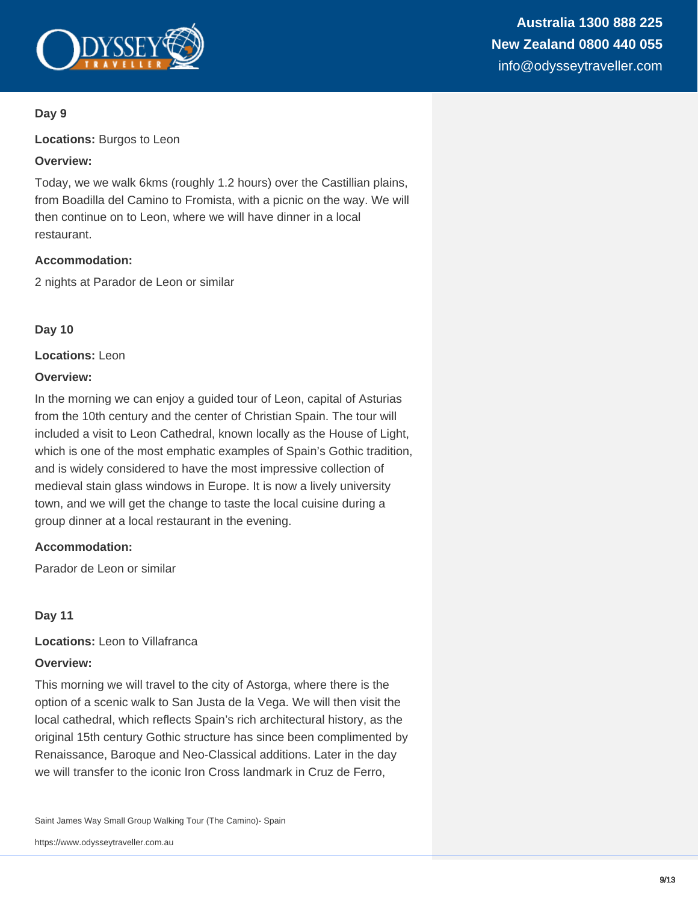

**Locations:** Burgos to Leon

#### **Overview:**

Today, we we walk 6kms (roughly 1.2 hours) over the Castillian plains, from Boadilla del Camino to Fromista, with a picnic on the way. We will then continue on to Leon, where we will have dinner in a local restaurant.

#### **Accommodation:**

2 nights at Parador de Leon or similar

#### **Day 10**

**Locations:** Leon

#### **Overview:**

In the morning we can enjoy a guided tour of Leon, capital of Asturias from the 10th century and the center of Christian Spain. The tour will included a visit to Leon Cathedral, known locally as the House of Light, which is one of the most emphatic examples of Spain's Gothic tradition, and is widely considered to have the most impressive collection of medieval stain glass windows in Europe. It is now a lively university town, and we will get the change to taste the local cuisine during a group dinner at a local restaurant in the evening.

#### **Accommodation:**

Parador de Leon or similar

#### **Day 11**

**Locations:** Leon to Villafranca

#### **Overview:**

This morning we will travel to the city of Astorga, where there is the option of a scenic walk to San Justa de la Vega. We will then visit the local cathedral, which reflects Spain's rich architectural history, as the original 15th century Gothic structure has since been complimented by Renaissance, Baroque and Neo-Classical additions. Later in the day we will transfer to the iconic Iron Cross landmark in Cruz de Ferro,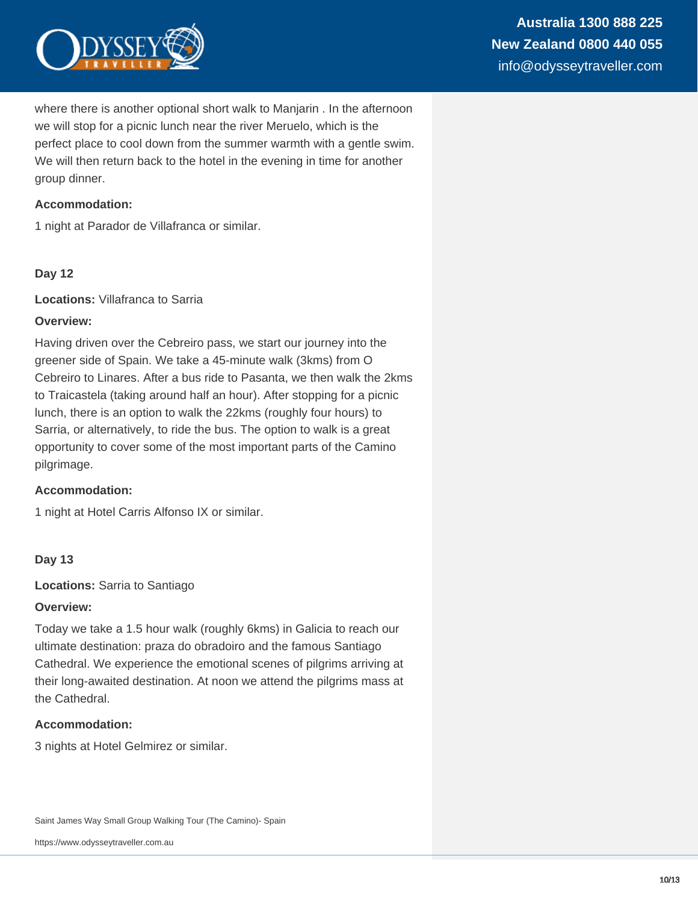

where there is another optional short walk to Manjarin . In the afternoon we will stop for a picnic lunch near the river Meruelo, which is the perfect place to cool down from the summer warmth with a gentle swim. We will then return back to the hotel in the evening in time for another group dinner.

#### **Accommodation:**

1 night at Parador de Villafranca or similar.

#### **Day 12**

**Locations:** Villafranca to Sarria

#### **Overview:**

Having driven over the Cebreiro pass, we start our journey into the greener side of Spain. We take a 45-minute walk (3kms) from O Cebreiro to Linares. After a bus ride to Pasanta, we then walk the 2kms to Traicastela (taking around half an hour). After stopping for a picnic lunch, there is an option to walk the 22kms (roughly four hours) to Sarria, or alternatively, to ride the bus. The option to walk is a great opportunity to cover some of the most important parts of the Camino pilgrimage.

#### **Accommodation:**

1 night at Hotel Carris Alfonso IX or similar.

#### **Day 13**

**Locations:** Sarria to Santiago

#### **Overview:**

Today we take a 1.5 hour walk (roughly 6kms) in Galicia to reach our ultimate destination: praza do obradoiro and the famous Santiago Cathedral. We experience the emotional scenes of pilgrims arriving at their long-awaited destination. At noon we attend the pilgrims mass at the Cathedral.

#### **Accommodation:**

3 nights at Hotel Gelmirez or similar.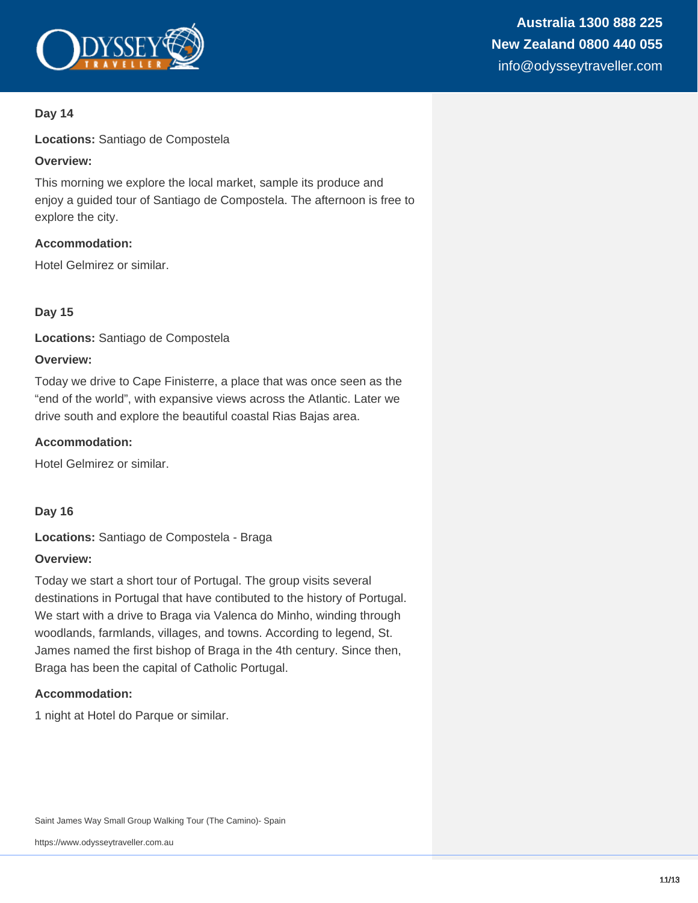

**Locations:** Santiago de Compostela

#### **Overview:**

This morning we explore the local market, sample its produce and enjoy a guided tour of Santiago de Compostela. The afternoon is free to explore the city.

#### **Accommodation:**

Hotel Gelmirez or similar.

#### **Day 15**

**Locations:** Santiago de Compostela

#### **Overview:**

Today we drive to Cape Finisterre, a place that was once seen as the "end of the world", with expansive views across the Atlantic. Later we drive south and explore the beautiful coastal Rias Bajas area.

#### **Accommodation:**

Hotel Gelmirez or similar.

**Day 16**

**Locations:** Santiago de Compostela - Braga

#### **Overview:**

Today we start a short tour of Portugal. The group visits several destinations in Portugal that have contibuted to the history of Portugal. We start with a drive to Braga via Valenca do Minho, winding through woodlands, farmlands, villages, and towns. According to legend, St. James named the first bishop of Braga in the 4th century. Since then, Braga has been the capital of Catholic Portugal.

#### **Accommodation:**

1 night at Hotel do Parque or similar.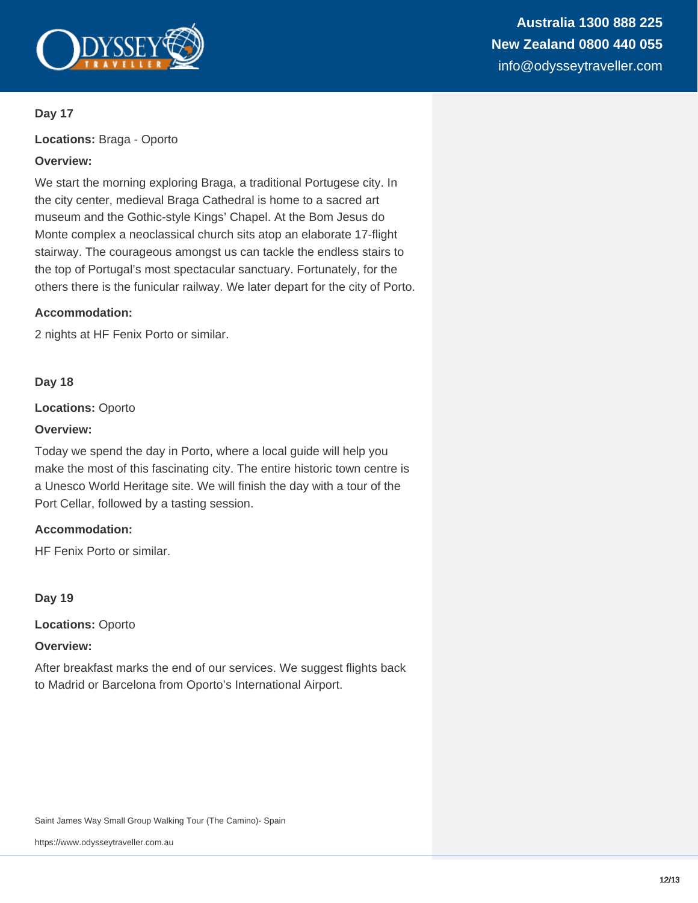

**Locations:** Braga - Oporto

#### **Overview:**

We start the morning exploring Braga, a traditional Portugese city. In the city center, medieval Braga Cathedral is home to a sacred art museum and the Gothic-style Kings' Chapel. At the Bom Jesus do Monte complex a neoclassical church sits atop an elaborate 17-flight stairway. The courageous amongst us can tackle the endless stairs to the top of Portugal's most spectacular sanctuary. Fortunately, for the others there is the funicular railway. We later depart for the city of Porto.

#### **Accommodation:**

2 nights at HF Fenix Porto or similar.

#### **Day 18**

**Locations:** Oporto

#### **Overview:**

Today we spend the day in Porto, where a local guide will help you make the most of this fascinating city. The entire historic town centre is a Unesco World Heritage site. We will finish the day with a tour of the Port Cellar, followed by a tasting session.

#### **Accommodation:**

HF Fenix Porto or similar.

#### **Day 19**

**Locations:** Oporto

#### **Overview:**

After breakfast marks the end of our services. We suggest flights back to Madrid or Barcelona from Oporto's International Airport.